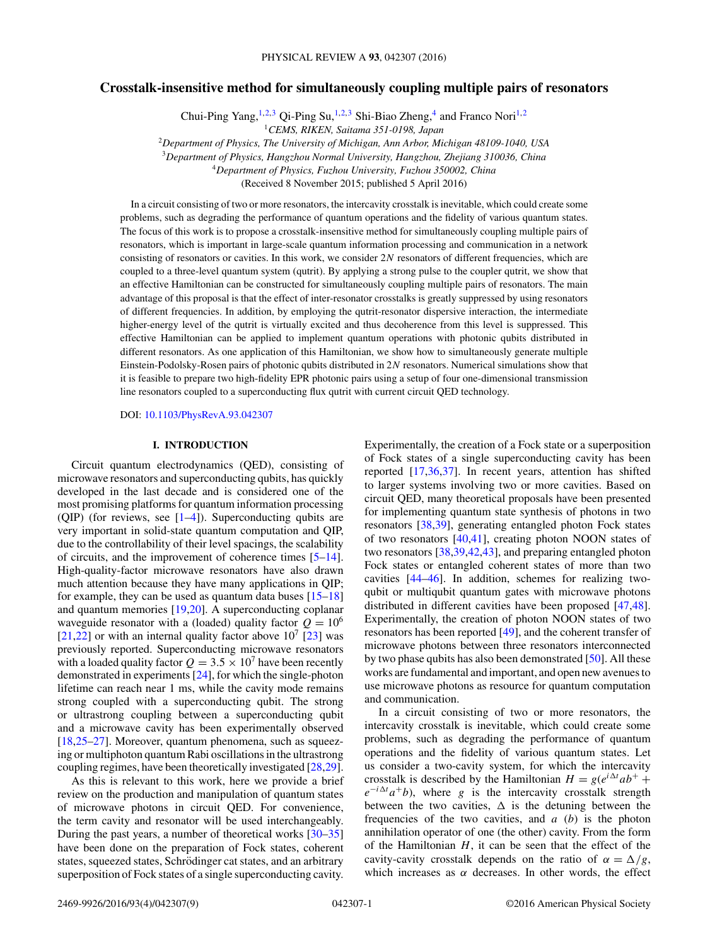# **Crosstalk-insensitive method for simultaneously coupling multiple pairs of resonators**

Chui-Ping Yang,<sup>1,2,3</sup> Qi-Ping Su,<sup>1,2,3</sup> Shi-Biao Zheng,<sup>4</sup> and Franco Nori<sup>1,2</sup>

<sup>1</sup>*CEMS, RIKEN, Saitama 351-0198, Japan*

<sup>2</sup>*Department of Physics, The University of Michigan, Ann Arbor, Michigan 48109-1040, USA*

<sup>3</sup>*Department of Physics, Hangzhou Normal University, Hangzhou, Zhejiang 310036, China*

<sup>4</sup>*Department of Physics, Fuzhou University, Fuzhou 350002, China*

(Received 8 November 2015; published 5 April 2016)

In a circuit consisting of two or more resonators, the intercavity crosstalk is inevitable, which could create some problems, such as degrading the performance of quantum operations and the fidelity of various quantum states. The focus of this work is to propose a crosstalk-insensitive method for simultaneously coupling multiple pairs of resonators, which is important in large-scale quantum information processing and communication in a network consisting of resonators or cavities. In this work, we consider 2N resonators of different frequencies, which are coupled to a three-level quantum system (qutrit). By applying a strong pulse to the coupler qutrit, we show that an effective Hamiltonian can be constructed for simultaneously coupling multiple pairs of resonators. The main advantage of this proposal is that the effect of inter-resonator crosstalks is greatly suppressed by using resonators of different frequencies. In addition, by employing the qutrit-resonator dispersive interaction, the intermediate higher-energy level of the qutrit is virtually excited and thus decoherence from this level is suppressed. This effective Hamiltonian can be applied to implement quantum operations with photonic qubits distributed in different resonators. As one application of this Hamiltonian, we show how to simultaneously generate multiple Einstein-Podolsky-Rosen pairs of photonic qubits distributed in 2*N* resonators. Numerical simulations show that it is feasible to prepare two high-fidelity EPR photonic pairs using a setup of four one-dimensional transmission line resonators coupled to a superconducting flux qutrit with current circuit QED technology.

DOI: [10.1103/PhysRevA.93.042307](http://dx.doi.org/10.1103/PhysRevA.93.042307)

#### **I. INTRODUCTION**

Circuit quantum electrodynamics (QED), consisting of microwave resonators and superconducting qubits, has quickly developed in the last decade and is considered one of the most promising platforms for quantum information processing (OIP) (for reviews, see  $[1-4]$ ). Superconducting qubits are very important in solid-state quantum computation and QIP, due to the controllability of their level spacings, the scalability of circuits, and the improvement of coherence times [\[5–](#page-5-0)[14\]](#page-6-0). High-quality-factor microwave resonators have also drawn much attention because they have many applications in QIP; for example, they can be used as quantum data buses  $[15-18]$ and quantum memories [\[19,20\]](#page-6-0). A superconducting coplanar waveguide resonator with a (loaded) quality factor  $Q = 10^6$ [\[21,22\]](#page-6-0) or with an internal quality factor above  $10^7$  [\[23\]](#page-6-0) was previously reported. Superconducting microwave resonators with a loaded quality factor  $Q = 3.5 \times 10^7$  have been recently demonstrated in experiments [\[24\]](#page-6-0), for which the single-photon lifetime can reach near 1 ms, while the cavity mode remains strong coupled with a superconducting qubit. The strong or ultrastrong coupling between a superconducting qubit and a microwave cavity has been experimentally observed [\[18,25–27\]](#page-6-0). Moreover, quantum phenomena, such as squeezing or multiphoton quantum Rabi oscillations in the ultrastrong coupling regimes, have been theoretically investigated [\[28,29\]](#page-6-0).

As this is relevant to this work, here we provide a brief review on the production and manipulation of quantum states of microwave photons in circuit QED. For convenience, the term cavity and resonator will be used interchangeably. During the past years, a number of theoretical works [\[30](#page-6-0)[–35\]](#page-7-0) have been done on the preparation of Fock states, coherent states, squeezed states, Schrödinger cat states, and an arbitrary superposition of Fock states of a single superconducting cavity. Experimentally, the creation of a Fock state or a superposition of Fock states of a single superconducting cavity has been reported [\[17](#page-6-0)[,36,37\]](#page-7-0). In recent years, attention has shifted to larger systems involving two or more cavities. Based on circuit QED, many theoretical proposals have been presented for implementing quantum state synthesis of photons in two resonators [\[38,39\]](#page-7-0), generating entangled photon Fock states of two resonators  $[40,41]$ , creating photon NOON states of two resonators [\[38,39,42,43\]](#page-7-0), and preparing entangled photon Fock states or entangled coherent states of more than two cavities [\[44–46\]](#page-7-0). In addition, schemes for realizing twoqubit or multiqubit quantum gates with microwave photons distributed in different cavities have been proposed [\[47,48\]](#page-7-0). Experimentally, the creation of photon NOON states of two resonators has been reported [\[49\]](#page-7-0), and the coherent transfer of microwave photons between three resonators interconnected by two phase qubits has also been demonstrated [\[50\]](#page-7-0). All these works are fundamental and important, and open new avenues to use microwave photons as resource for quantum computation and communication.

In a circuit consisting of two or more resonators, the intercavity crosstalk is inevitable, which could create some problems, such as degrading the performance of quantum operations and the fidelity of various quantum states. Let us consider a two-cavity system, for which the intercavity crosstalk is described by the Hamiltonian  $H = g(e^{i\Delta t}ab^+ +$  $e^{-i\Delta t}a^{+}b$ , where *g* is the intercavity crosstalk strength between the two cavities,  $\Delta$  is the detuning between the frequencies of the two cavities, and *a* (*b*) is the photon annihilation operator of one (the other) cavity. From the form of the Hamiltonian *H*, it can be seen that the effect of the cavity-cavity crosstalk depends on the ratio of  $\alpha = \Delta/g$ , which increases as  $\alpha$  decreases. In other words, the effect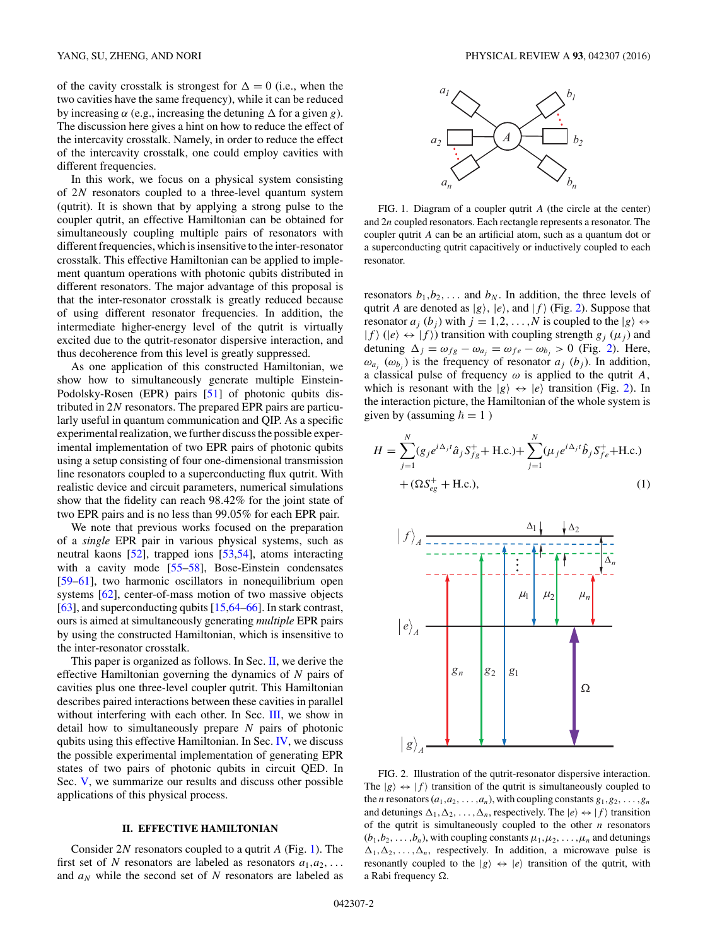<span id="page-1-0"></span>of the cavity crosstalk is strongest for  $\Delta = 0$  (i.e., when the two cavities have the same frequency), while it can be reduced by increasing  $\alpha$  (e.g., increasing the detuning  $\Delta$  for a given *g*). The discussion here gives a hint on how to reduce the effect of the intercavity crosstalk. Namely, in order to reduce the effect of the intercavity crosstalk, one could employ cavities with different frequencies.

In this work, we focus on a physical system consisting of 2*N* resonators coupled to a three-level quantum system (qutrit). It is shown that by applying a strong pulse to the coupler qutrit, an effective Hamiltonian can be obtained for simultaneously coupling multiple pairs of resonators with different frequencies, which is insensitive to the inter-resonator crosstalk. This effective Hamiltonian can be applied to implement quantum operations with photonic qubits distributed in different resonators. The major advantage of this proposal is that the inter-resonator crosstalk is greatly reduced because of using different resonator frequencies. In addition, the intermediate higher-energy level of the qutrit is virtually excited due to the qutrit-resonator dispersive interaction, and thus decoherence from this level is greatly suppressed.

As one application of this constructed Hamiltonian, we show how to simultaneously generate multiple Einstein-Podolsky-Rosen (EPR) pairs [\[51\]](#page-7-0) of photonic qubits distributed in 2*N* resonators. The prepared EPR pairs are particularly useful in quantum communication and QIP. As a specific experimental realization, we further discuss the possible experimental implementation of two EPR pairs of photonic qubits using a setup consisting of four one-dimensional transmission line resonators coupled to a superconducting flux qutrit. With realistic device and circuit parameters, numerical simulations show that the fidelity can reach 98*.*42% for the joint state of two EPR pairs and is no less than 99*.*05% for each EPR pair.

We note that previous works focused on the preparation of a *single* EPR pair in various physical systems, such as neutral kaons [\[52\]](#page-7-0), trapped ions [\[53,54\]](#page-7-0), atoms interacting with a cavity mode [\[55–58\]](#page-7-0), Bose-Einstein condensates [\[59–61\]](#page-7-0), two harmonic oscillators in nonequilibrium open systems [\[62\]](#page-7-0), center-of-mass motion of two massive objects [\[63\]](#page-7-0), and superconducting qubits [\[15](#page-6-0)[,64–66\]](#page-7-0). In stark contrast, ours is aimed at simultaneously generating *multiple* EPR pairs by using the constructed Hamiltonian, which is insensitive to the inter-resonator crosstalk.

This paper is organized as follows. In Sec. II, we derive the effective Hamiltonian governing the dynamics of *N* pairs of cavities plus one three-level coupler qutrit. This Hamiltonian describes paired interactions between these cavities in parallel without interfering with each other. In Sec. [III,](#page-2-0) we show in detail how to simultaneously prepare *N* pairs of photonic qubits using this effective Hamiltonian. In Sec. [IV,](#page-3-0) we discuss the possible experimental implementation of generating EPR states of two pairs of photonic qubits in circuit QED. In Sec. [V,](#page-5-0) we summarize our results and discuss other possible applications of this physical process.

### **II. EFFECTIVE HAMILTONIAN**

Consider 2*N* resonators coupled to a qutrit *A* (Fig. 1). The first set of *N* resonators are labeled as resonators  $a_1, a_2, \ldots$ and  $a_N$  while the second set of N resonators are labeled as



FIG. 1. Diagram of a coupler qutrit *A* (the circle at the center) and 2*n* coupled resonators. Each rectangle represents a resonator. The coupler qutrit *A* can be an artificial atom, such as a quantum dot or a superconducting qutrit capacitively or inductively coupled to each resonator.

resonators  $b_1, b_2, \ldots$  and  $b_N$ . In addition, the three levels of qutrit *A* are denoted as  $|g\rangle$ ,  $|e\rangle$ , and  $|f\rangle$  (Fig. 2). Suppose that resonator  $a_j$  ( $b_j$ ) with  $j = 1, 2, ..., N$  is coupled to the  $|g\rangle \leftrightarrow$  $|f\rangle$  ( $|e\rangle \leftrightarrow |f\rangle$ ) transition with coupling strength  $g_j$  ( $\mu_j$ ) and detuning  $\Delta_j = \omega_{fg} - \omega_{a_j} = \omega_{fe} - \omega_{b_j} > 0$  (Fig. 2). Here,  $\omega_{a_i}$  ( $\omega_{b_i}$ ) is the frequency of resonator  $a_j$  ( $b_j$ ). In addition, a classical pulse of frequency *ω* is applied to the qutrit *A,* which is resonant with the  $|g\rangle \leftrightarrow |e\rangle$  transition (Fig. 2)*.* In the interaction picture, the Hamiltonian of the whole system is given by (assuming  $\hbar = 1$ )

$$
H = \sum_{j=1}^{N} (g_j e^{i\Delta_j t} \hat{a}_j S_{fg}^+ + \text{H.c.}) + \sum_{j=1}^{N} (\mu_j e^{i\Delta_j t} \hat{b}_j S_{fe}^+ + \text{H.c.}) + (\Omega S_{eg}^+ + \text{H.c.}),
$$
\n(1)



FIG. 2. Illustration of the qutrit-resonator dispersive interaction. The  $|g\rangle \leftrightarrow |f\rangle$  transition of the qutrit is simultaneously coupled to the *n* resonators  $(a_1, a_2, \ldots, a_n)$ , with coupling constants  $g_1, g_2, \ldots, g_n$ and detunings  $\Delta_1, \Delta_2, \ldots, \Delta_n$ , respectively. The  $|e\rangle \leftrightarrow |f\rangle$  transition of the qutrit is simultaneously coupled to the other *n* resonators  $(b_1, b_2, \ldots, b_n)$ , with coupling constants  $\mu_1, \mu_2, \ldots, \mu_n$  and detunings  $\Delta_1, \Delta_2, \ldots, \Delta_n$ , respectively. In addition, a microwave pulse is resonantly coupled to the  $|g\rangle \leftrightarrow |e\rangle$  transition of the qutrit, with a Rabi frequency  $\Omega$ .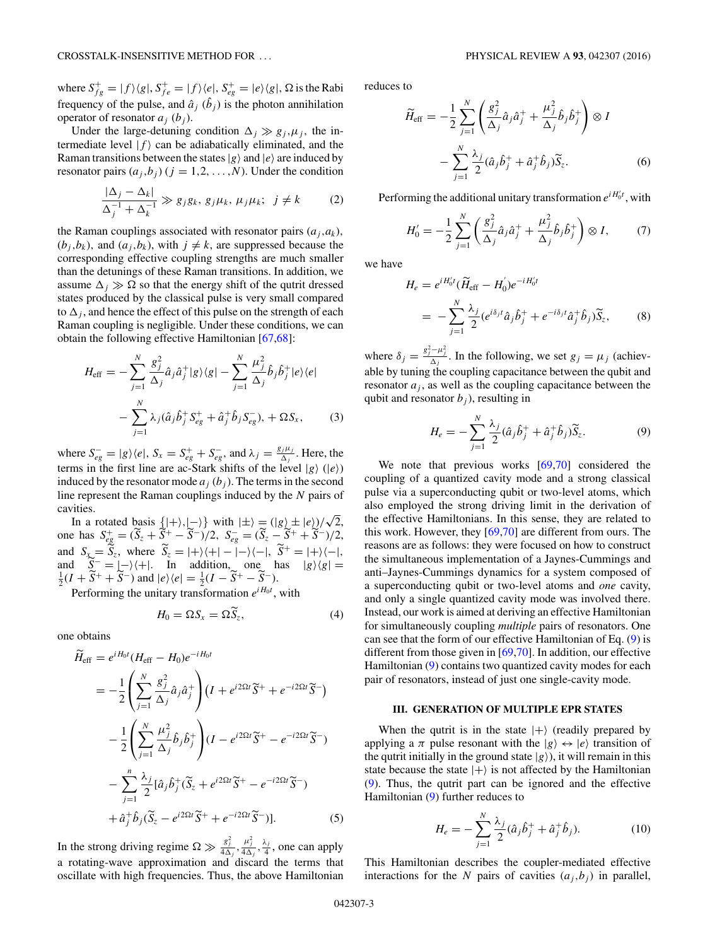<span id="page-2-0"></span>where  $S_{fg}^+ = |f\rangle\langle g|, S_{fe}^+ = |f\rangle\langle e|, S_{eg}^+ = |e\rangle\langle g|, \Omega$  is the Rabi frequency of the pulse, and  $\hat{a}_j$  ( $\hat{b}_j$ ) is the photon annihilation operator of resonator  $a_j$  ( $b_j$ ).

Under the large-detuning condition  $\Delta_j \gg g_j, \mu_j$ , the intermediate level  $|f\rangle$  can be adiabatically eliminated, and the Raman transitions between the states  $|g\rangle$  and  $|e\rangle$  are induced by resonator pairs  $(a_i, b_j)$   $(j = 1, 2, ..., N)$ . Under the condition

$$
\frac{|\Delta_j - \Delta_k|}{\Delta_j^{-1} + \Delta_k^{-1}} \gg g_j g_k, g_j \mu_k, \mu_j \mu_k; \ j \neq k \tag{2}
$$

the Raman couplings associated with resonator pairs  $(a_i, a_k)$ ,  $(b_j, b_k)$ , and  $(a_j, b_k)$ , with  $j \neq k$ , are suppressed because the corresponding effective coupling strengths are much smaller than the detunings of these Raman transitions. In addition, we assume  $\Delta_j \gg \Omega$  so that the energy shift of the qutrit dressed states produced by the classical pulse is very small compared to  $\Delta_j$ , and hence the effect of this pulse on the strength of each Raman coupling is negligible. Under these conditions, we can obtain the following effective Hamiltonian [\[67,68\]](#page-8-0):

$$
H_{\text{eff}} = -\sum_{j=1}^{N} \frac{g_j^2}{\Delta_j} \hat{a}_j \hat{a}_j^+ |g\rangle\langle g| - \sum_{j=1}^{N} \frac{\mu_j^2}{\Delta_j} \hat{b}_j \hat{b}_j^+ |e\rangle\langle e| - \sum_{j=1}^{N} \lambda_j (\hat{a}_j \hat{b}_j^+ S_{eg}^+ + \hat{a}_j^+ \hat{b}_j S_{eg}^-), + \Omega S_x, \qquad (3)
$$

where  $S_{eg}^- = |g\rangle\langle e|$ ,  $S_x = S_{eg}^+ + S_{eg}^-$ , and  $\lambda_j = \frac{g_j\mu_j}{\Delta_j}$ . Here, the terms in the first line are ac-Stark shifts of the level  $|g\rangle$  ( $|e\rangle$ ) induced by the resonator mode  $a_i$  ( $b_i$ ). The terms in the second line represent the Raman couplings induced by the *N* pairs of cavities.

In a rotated basis  $\{|+\rangle, |-\rangle\}$  with  $|\pm\rangle = (|g\rangle \pm |e\rangle)/\sqrt{2}$ , one has  $S_{eg}^{\dagger} = (\widetilde{S}_z + \widetilde{S}_z^+ - \widetilde{S}_z^-)/2$ ,  $S_{eg}^- = (\widetilde{S}_z - \widetilde{S}_z^+ + \widetilde{S}_z^-)/2$ , and  $S_x = \widetilde{S}_z$ , where  $\widetilde{S}_z = |+\rangle\langle+|-|-\rangle\langle-|$ ,  $\widetilde{S}^+ = |+\rangle\langle-|$ , and  $\widetilde{S}^- = |+\rangle\langle-|$ ,  $\widetilde{S}^- = |+\rangle\langle-|$ and  $\tilde{S}^{-} = |-\rangle\langle +|$ . In addition, one has  $|g\rangle\langle g| = \frac{1}{2}(I + \tilde{S}^{+} + \tilde{S}^{-})$  and  $|e\rangle\langle e| = \frac{1}{2}(I - \tilde{S}^{+} - \tilde{S}^{-})$ .

Performing the unitary transformation  $e^{iH_0t}$ , with

$$
H_0 = \Omega S_x = \Omega S_z, \tag{4}
$$

one obtains

$$
\widetilde{H}_{\text{eff}} = e^{iH_0 t} (H_{\text{eff}} - H_0) e^{-iH_0 t}
$$
\n
$$
= -\frac{1}{2} \left( \sum_{j=1}^N \frac{g_j^2}{\Delta_j} \hat{a}_j \hat{a}_j^+ \right) (I + e^{i2\Omega t} \widetilde{S}^+ + e^{-i2\Omega t} \widetilde{S}^-)
$$
\n
$$
- \frac{1}{2} \left( \sum_{j=1}^N \frac{\mu_j^2}{\Delta_j} \hat{b}_j \hat{b}_j^+ \right) (I - e^{i2\Omega t} \widetilde{S}^+ - e^{-i2\Omega t} \widetilde{S}^-)
$$
\n
$$
- \sum_{j=1}^n \frac{\lambda_j}{2} [\hat{a}_j \hat{b}_j^+ (\widetilde{S}_z + e^{i2\Omega t} \widetilde{S}^+ - e^{-i2\Omega t} \widetilde{S}^-)
$$
\n
$$
+ \hat{a}_j^+ \hat{b}_j (\widetilde{S}_z - e^{i2\Omega t} \widetilde{S}^+ + e^{-i2\Omega t} \widetilde{S}^-)]. \tag{5}
$$

In the strong driving regime  $\Omega \gg \frac{g_j^2}{4\Delta_j}, \frac{\mu_j^2}{4\Delta_j}, \frac{\lambda_j}{4}$ , one can apply a rotating-wave approximation and discard the terms that oscillate with high frequencies. Thus, the above Hamiltonian reduces to

$$
\widetilde{H}_{\text{eff}} = -\frac{1}{2} \sum_{j=1}^{N} \left( \frac{g_j^2}{\Delta_j} \hat{a}_j \hat{a}_j^+ + \frac{\mu_j^2}{\Delta_j} \hat{b}_j \hat{b}_j^+ \right) \otimes I
$$

$$
- \sum_{j=1}^{N} \frac{\lambda_j}{2} (\hat{a}_j \hat{b}_j^+ + \hat{a}_j^+ \hat{b}_j) \widetilde{S}_z.
$$
(6)

Performing the additional unitary transformation  $e^{iH_0 t}$ , with

$$
H'_{0} = -\frac{1}{2} \sum_{j=1}^{N} \left( \frac{g_j^2}{\Delta_j} \hat{a}_j \hat{a}_j^+ + \frac{\mu_j^2}{\Delta_j} \hat{b}_j \hat{b}_j^+ \right) \otimes I, \qquad (7)
$$

we have

$$
H_e = e^{iH_0't}(\widetilde{H}_{\text{eff}} - H_0')e^{-iH_0't}
$$
  
= 
$$
-\sum_{j=1}^N \frac{\lambda_j}{2} (e^{i\delta_j t}\hat{a}_j \hat{b}_j^+ + e^{-i\delta_j t} \hat{a}_j^+ \hat{b}_j) \widetilde{S}_z,
$$
 (8)

where  $\delta_j = \frac{g_j^2 - \mu_j^2}{\Delta_j}$ . In the following, we set  $g_j = \mu_j$  (achievable by tuning the coupling capacitance between the qubit and resonator  $a_j$ , as well as the coupling capacitance between the qubit and resonator  $b_i$ ), resulting in

$$
H_e = -\sum_{j=1}^{N} \frac{\lambda_j}{2} (\hat{a}_j \hat{b}_j^+ + \hat{a}_j^+ \hat{b}_j) \widetilde{S}_z.
$$
 (9)

We note that previous works [\[69,70\]](#page-8-0) considered the coupling of a quantized cavity mode and a strong classical pulse via a superconducting qubit or two-level atoms, which also employed the strong driving limit in the derivation of the effective Hamiltonians. In this sense, they are related to this work. However, they [\[69,70\]](#page-8-0) are different from ours. The reasons are as follows: they were focused on how to construct the simultaneous implementation of a Jaynes-Cummings and anti–Jaynes-Cummings dynamics for a system composed of a superconducting qubit or two-level atoms and *one* cavity, and only a single quantized cavity mode was involved there. Instead, our work is aimed at deriving an effective Hamiltonian for simultaneously coupling *multiple* pairs of resonators. One can see that the form of our effective Hamiltonian of Eq. (9) is different from those given in [\[69,70\]](#page-8-0). In addition, our effective Hamiltonian (9) contains two quantized cavity modes for each pair of resonators, instead of just one single-cavity mode.

### **III. GENERATION OF MULTIPLE EPR STATES**

When the qutrit is in the state  $|+\rangle$  (readily prepared by applying a  $\pi$  pulse resonant with the  $|g\rangle \leftrightarrow |e\rangle$  transition of the qutrit initially in the ground state  $|g\rangle$ ), it will remain in this state because the state  $|+\rangle$  is not affected by the Hamiltonian (9). Thus, the qutrit part can be ignored and the effective Hamiltonian (9) further reduces to

$$
H_e = -\sum_{j=1}^{N} \frac{\lambda_j}{2} (\hat{a}_j \hat{b}_j^+ + \hat{a}_j^+ \hat{b}_j).
$$
 (10)

This Hamiltonian describes the coupler-mediated effective interactions for the *N* pairs of cavities  $(a_j, b_j)$  in parallel,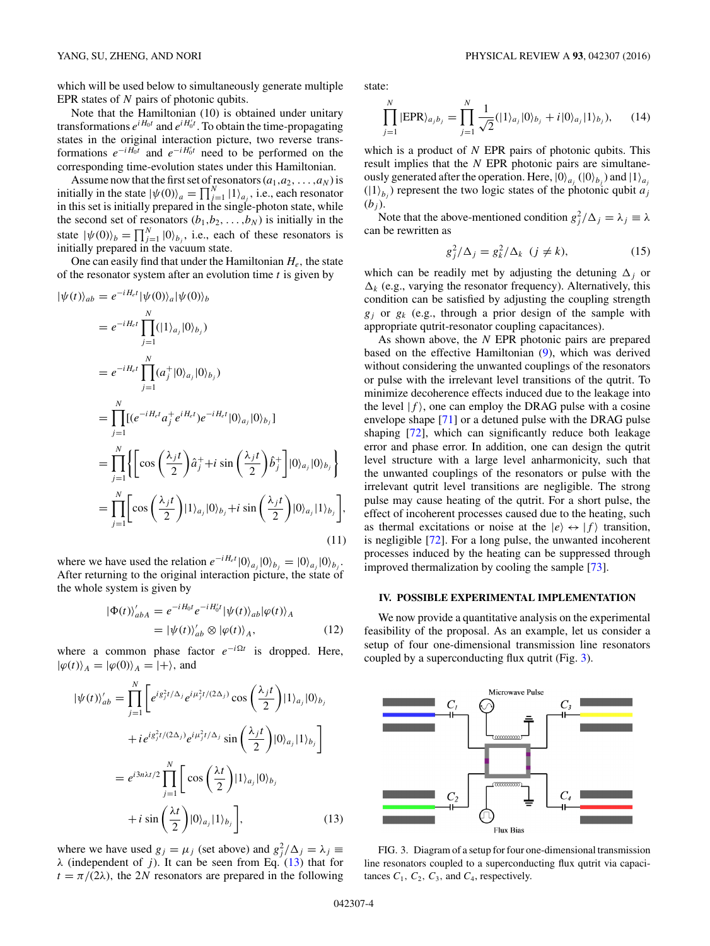<span id="page-3-0"></span>which will be used below to simultaneously generate multiple EPR states of *N* pairs of photonic qubits.

Note that the Hamiltonian (10) is obtained under unitary transformations  $e^{iH_0t}$  and  $e^{iH_0^t}$ . To obtain the time-propagating states in the original interaction picture, two reverse transformations  $e^{-iH_0t}$  and  $e^{-iH_0^t}$  need to be performed on the corresponding time-evolution states under this Hamiltonian.

Assume now that the first set of resonators  $(a_1, a_2, \ldots, a_N)$  is initially in the state  $|\psi(0)\rangle_a = \prod_{j=1}^N |1\rangle_{a_j}$ , i.e., each resonator in this set is initially prepared in the single-photon state, while the second set of resonators  $(b_1, b_2, \ldots, b_N)$  is initially in the state  $|\psi(0)\rangle_b = \prod_{j=1}^N |0\rangle_{b_j}$ , i.e., each of these resonators is initially prepared in the vacuum state.

One can easily find that under the Hamiltonian  $H_e$ , the state of the resonator system after an evolution time *t* is given by

$$
|\psi(t)\rangle_{ab} = e^{-iH_{e}t} |\psi(0)\rangle_{a} |\psi(0)\rangle_{b}
$$
  
\n
$$
= e^{-iH_{e}t} \prod_{j=1}^{N} (|1\rangle_{a_{j}} |0\rangle_{b_{j}})
$$
  
\n
$$
= e^{-iH_{e}t} \prod_{j=1}^{N} (a_{j}^{+} |0\rangle_{a_{j}} |0\rangle_{b_{j}})
$$
  
\n
$$
= \prod_{j=1}^{N} [(e^{-iH_{e}t}a_{j}^{+}e^{iH_{e}t})e^{-iH_{e}t} |0\rangle_{a_{j}} |0\rangle_{b_{j}}]
$$
  
\n
$$
= \prod_{j=1}^{N} \left\{ \left[ \cos\left(\frac{\lambda_{j}t}{2}\right)\hat{a}_{j}^{+} + i \sin\left(\frac{\lambda_{j}t}{2}\right)\hat{b}_{j}^{+} \right] |0\rangle_{a_{j}} |0\rangle_{b_{j}} \right\}
$$
  
\n
$$
= \prod_{j=1}^{N} \left[ \cos\left(\frac{\lambda_{j}t}{2}\right) |1\rangle_{a_{j}} |0\rangle_{b_{j}} + i \sin\left(\frac{\lambda_{j}t}{2}\right) |0\rangle_{a_{j}} |1\rangle_{b_{j}} \right],
$$
  
\n(11)

where we have used the relation  $e^{-iH_e t} |0\rangle_{a_j} |0\rangle_{b_j} = |0\rangle_{a_j} |0\rangle_{b_j}$ . After returning to the original interaction picture, the state of the whole system is given by

|

$$
\Phi(t)\rangle'_{abA} = e^{-iH_0t} e^{-iH_0't} |\psi(t)\rangle_{ab} |\varphi(t)\rangle_A \n= |\psi(t)\rangle'_{ab} \otimes |\varphi(t)\rangle_A,
$$
\n(12)

where a common phase factor  $e^{-i\Omega t}$  is dropped. Here,  $|\varphi(t)\rangle_A = |\varphi(0)\rangle_A = |+\rangle$ , and

$$
|\psi(t)\rangle'_{ab} = \prod_{j=1}^{N} \left[ e^{i g_j^2 t/\Delta_j} e^{i \mu_j^2 t/(2\Delta_j)} \cos\left(\frac{\lambda_j t}{2}\right) |1\rangle_{a_j} |0\rangle_{b_j} + i e^{i g_j^2 t/(2\Delta_j)} e^{i \mu_j^2 t/\Delta_j} \sin\left(\frac{\lambda_j t}{2}\right) |0\rangle_{a_j} |1\rangle_{b_j} \right] = e^{i 3n\lambda t/2} \prod_{j=1}^{N} \left[ \cos\left(\frac{\lambda t}{2}\right) |1\rangle_{a_j} |0\rangle_{b_j} + i \sin\left(\frac{\lambda t}{2}\right) |0\rangle_{a_j} |1\rangle_{b_j} \right],
$$
(13)

where we have used  $g_j = \mu_j$  (set above) and  $g_j^2 / \Delta_j = \lambda_j \equiv$ *λ* (independent of *j*). It can be seen from Eq. (13) that for  $t = \pi/(2\lambda)$ , the 2*N* resonators are prepared in the following

state:

$$
\prod_{j=1}^{N} |EPR\rangle_{a_j b_j} = \prod_{j=1}^{N} \frac{1}{\sqrt{2}} (|1\rangle_{a_j} |0\rangle_{b_j} + i|0\rangle_{a_j} |1\rangle_{b_j}), \quad (14)
$$

which is a product of *N* EPR pairs of photonic qubits. This result implies that the *N* EPR photonic pairs are simultaneously generated after the operation. Here,  $|0\rangle_{a_j}$  ( $|0\rangle_{b_j}$ ) and  $|1\rangle_{a_j}$  $(|1\rangle_{b_j})$  represent the two logic states of the photonic qubit *a*<sup>j</sup>  $(b_i)$ .

Note that the above-mentioned condition  $g_j^2 / \Delta_j = \lambda_j \equiv \lambda$ can be rewritten as

$$
g_j^2/\Delta_j = g_k^2/\Delta_k \ \ (j \neq k), \tag{15}
$$

which can be readily met by adjusting the detuning  $\Delta_j$  or  $\Delta_k$  (e.g., varying the resonator frequency). Alternatively, this condition can be satisfied by adjusting the coupling strength *gj* or *gk* (e.g., through a prior design of the sample with appropriate qutrit-resonator coupling capacitances).

As shown above, the *N* EPR photonic pairs are prepared based on the effective Hamiltonian [\(9\)](#page-2-0), which was derived without considering the unwanted couplings of the resonators or pulse with the irrelevant level transitions of the qutrit. To minimize decoherence effects induced due to the leakage into the level  $|f\rangle$ , one can employ the DRAG pulse with a cosine envelope shape [\[71\]](#page-8-0) or a detuned pulse with the DRAG pulse shaping [\[72\]](#page-8-0), which can significantly reduce both leakage error and phase error. In addition, one can design the qutrit level structure with a large level anharmonicity, such that the unwanted couplings of the resonators or pulse with the irrelevant qutrit level transitions are negligible. The strong pulse may cause heating of the qutrit. For a short pulse, the effect of incoherent processes caused due to the heating, such as thermal excitations or noise at the  $|e\rangle \leftrightarrow |f\rangle$  transition, is negligible [\[72\]](#page-8-0). For a long pulse, the unwanted incoherent processes induced by the heating can be suppressed through improved thermalization by cooling the sample [\[73\]](#page-8-0).

## **IV. POSSIBLE EXPERIMENTAL IMPLEMENTATION**

We now provide a quantitative analysis on the experimental feasibility of the proposal. As an example, let us consider a setup of four one-dimensional transmission line resonators coupled by a superconducting flux qutrit (Fig. 3).



FIG. 3. Diagram of a setup for four one-dimensional transmission line resonators coupled to a superconducting flux qutrit via capacitances  $C_1$ ,  $C_2$ ,  $C_3$ , and  $C_4$ , respectively.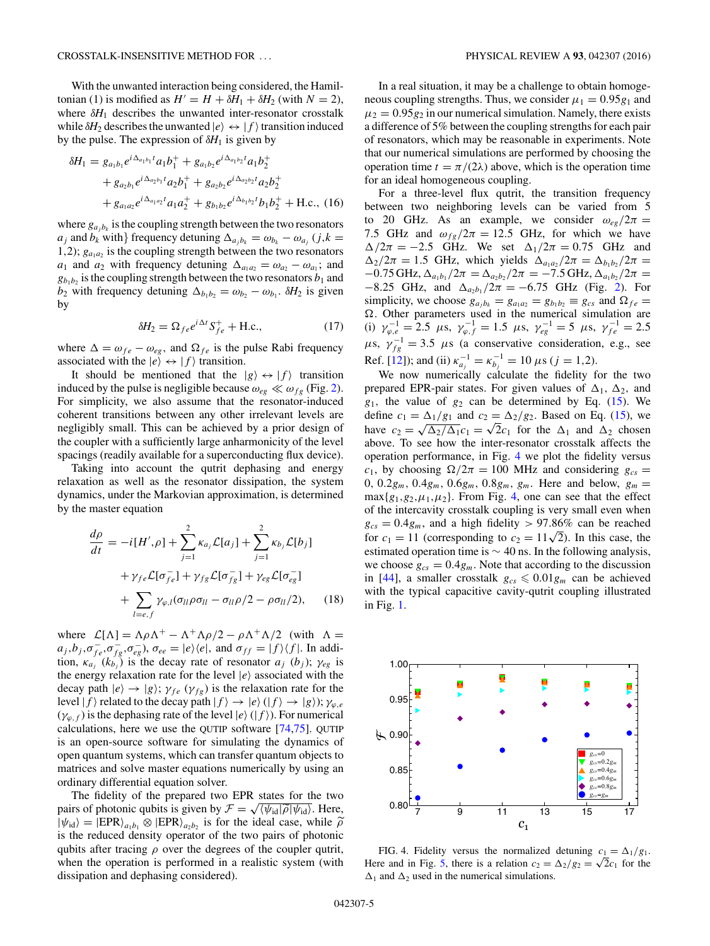With the unwanted interaction being considered, the Hamiltonian (1) is modified as  $H' = H + \delta H_1 + \delta H_2$  (with  $N = 2$ ), where  $\delta H_1$  describes the unwanted inter-resonator crosstalk while  $\delta H_2$  describes the unwanted  $|e\rangle \leftrightarrow |f\rangle$  transition induced by the pulse. The expression of  $\delta H_1$  is given by

$$
\delta H_1 = g_{a_1b_1} e^{i\Delta_{a_1b_1}t} a_1 b_1^+ + g_{a_1b_2} e^{i\Delta_{a_1b_2}t} a_1 b_2^+
$$
  
+  $g_{a_2b_1} e^{i\Delta_{a_2b_1}t} a_2 b_1^+ + g_{a_2b_2} e^{i\Delta_{a_2b_2}t} a_2 b_2^+$   
+  $g_{a_1a_2} e^{i\Delta_{a_1a_2}t} a_1 a_2^+ + g_{b_1b_2} e^{i\Delta_{b_1b_2}t} b_1 b_2^+ + \text{H.c.},$  (16)

*<sup>a</sup>*1*b*<sup>2</sup> *t*

where  $g_{a_i b_k}$  is the coupling strength between the two resonators  $a_j$  and  $b_k$  with} frequency detuning  $\Delta_{a_j b_k} = \omega_{b_k} - \omega_{a_j}$  (*j*, $k =$ 1,2);  $g_{a_1a_2}$  is the coupling strength between the two resonators *a*<sub>1</sub> and *a*<sub>2</sub> with frequency detuning  $\Delta_{a_1 a_2} = \omega_{a_2} - \omega_{a_1}$ ; and  $g_{b_1b_2}$  is the coupling strength between the two resonators  $b_1$  and *b*<sub>2</sub> with frequency detuning  $\Delta_{b_1 b_2} = \omega_{b_2} - \omega_{b_1}$ .  $\delta H_2$  is given by

$$
\delta H_2 = \Omega_{fe} e^{i\Delta t} S_{fe}^+ + \text{H.c.},\tag{17}
$$

where  $\Delta = \omega_{fe} - \omega_{eg}$ , and  $\Omega_{fe}$  is the pulse Rabi frequency associated with the  $|e\rangle \leftrightarrow |f\rangle$  transition.

It should be mentioned that the  $|g\rangle \leftrightarrow |f\rangle$  transition induced by the pulse is negligible because  $\omega_{eg} \ll \omega_{fg}$  (Fig. [2\)](#page-1-0). For simplicity, we also assume that the resonator-induced coherent transitions between any other irrelevant levels are negligibly small. This can be achieved by a prior design of the coupler with a sufficiently large anharmonicity of the level spacings (readily available for a superconducting flux device).

Taking into account the qutrit dephasing and energy relaxation as well as the resonator dissipation, the system dynamics, under the Markovian approximation, is determined by the master equation

$$
\frac{d\rho}{dt} = -i[H',\rho] + \sum_{j=1}^{2} \kappa_{a_j} \mathcal{L}[a_j] + \sum_{j=1}^{2} \kappa_{b_j} \mathcal{L}[b_j]
$$

$$
+ \gamma_{fe} \mathcal{L}[\sigma_{fe}^{-}] + \gamma_{fg} \mathcal{L}[\sigma_{fg}^{-}] + \gamma_{eg} \mathcal{L}[\sigma_{eg}^{-}]
$$

$$
+ \sum_{l=e,f} \gamma_{\varphi,l} (\sigma_{ll} \rho \sigma_{ll} - \sigma_{ll} \rho/2 - \rho \sigma_{ll}/2), \qquad (18)
$$

where  $\mathcal{L}[\Lambda] = \Lambda \rho \Lambda^+ - \Lambda^+ \Lambda \rho/2 - \rho \Lambda^+ \Lambda/2$  (with  $\Lambda =$  $a_j, b_j, \sigma_{fe}^-, \sigma_{fg}^-, \sigma_{eg}^-, \sigma_{ee}^- = |e\rangle\langle e|$ , and  $\sigma_{ff} = |f\rangle\langle f|$ . In addition,  $\kappa_{a_j}$  ( $k_{b_j}$ ) is the decay rate of resonator  $a_j$  ( $b_j$ );  $\gamma_{eg}$  is the energy relaxation rate for the level  $|e\rangle$  associated with the decay path  $|e\rangle \rightarrow |g\rangle$ ;  $\gamma_{fe}(\gamma_{fg})$  is the relaxation rate for the level  $|f\rangle$  related to the decay path  $|f\rangle \rightarrow |e\rangle$  ( $|f\rangle \rightarrow |g\rangle$ );  $\gamma_{\varphi,e}$  $(\gamma_{\varphi,f})$  is the dephasing rate of the level  $|e\rangle$  ( $|f\rangle$ ). For numerical calculations, here we use the QUTIP software [\[74,75\]](#page-8-0). QUTIP is an open-source software for simulating the dynamics of open quantum systems, which can transfer quantum objects to matrices and solve master equations numerically by using an ordinary differential equation solver.

The fidelity of the prepared two EPR states for the two pairs of photonic qubits is given by  $\mathcal{F} = \sqrt{\psi_{id}|\tilde{\rho}|\psi_{id}|}$ . Here,<br> $|\psi_{i,j}\rangle = |EPR\rangle$ ,  $\otimes |EPR\rangle$ , is for the ideal case, while  $\tilde{\rho}$  $|\psi_{\text{id}}\rangle = |EPR\rangle_{a_1b_1} \otimes |EPR\rangle_{a_2b_2}$  is for the ideal case, while  $\tilde{\rho}$ <br>is the reduced density operator of the two pairs of photonic is the reduced density operator of the two pairs of photonic qubits after tracing *ρ* over the degrees of the coupler qutrit, when the operation is performed in a realistic system (with dissipation and dephasing considered).

In a real situation, it may be a challenge to obtain homogeneous coupling strengths. Thus, we consider  $\mu_1 = 0.95g_1$  and  $\mu_2 = 0.95g_2$  in our numerical simulation. Namely, there exists a difference of 5% between the coupling strengths for each pair of resonators, which may be reasonable in experiments. Note that our numerical simulations are performed by choosing the operation time  $t = \pi/(2\lambda)$  above, which is the operation time for an ideal homogeneous coupling.

For a three-level flux qutrit, the transition frequency between two neighboring levels can be varied from 5 to 20 GHz. As an example, we consider  $\omega_{eg}/2\pi =$ 7.5 GHz and  $\omega_{fg}/2\pi = 12.5$  GHz, for which we have  $\Delta/2\pi = -2.5$  GHz. We set  $\Delta_1/2\pi = 0.75$  GHz and  $\Delta_2/2\pi = 1.5$  GHz, which yields  $\Delta_{a_1a_2}/2\pi = \Delta_{b_1b_2}/2\pi =$  $-0.75$  GHz,  $\Delta_{a_1b_1}/2\pi = \Delta_{a_2b_2}/2\pi = -7.5$  GHz,  $\Delta_{a_1b_2}/2\pi =$  $-8.25$  GHz, and  $\Delta_{a_2b_1}/2\pi = -6.75$  GHz (Fig. [2\)](#page-1-0). For simplicity, we choose  $g_{a_jb_k} = g_{a_1a_2} = g_{b_1b_2} \equiv g_{cs}$  and  $\Omega_{fe} =$ *.* Other parameters used in the numerical simulation are (i)  $\gamma_{\varphi,e}^{-1} = 2.5 \ \mu s, \ \gamma_{\varphi,f}^{-1} = 1.5 \ \mu s, \ \gamma_{eg}^{-1} = 5 \ \mu s, \ \gamma_{fe}^{-1} = 2.5$  $\mu$ s,  $\gamma_{fg}^{-1} = 3.5 \mu$ s (a conservative consideration, e.g., see Ref. [\[12\]](#page-6-0)); and (ii)  $\kappa_{a_j}^{-1} = \kappa_{b_j}^{-1} = 10 \,\mu s \, (j = 1, 2)$ .

We now numerically calculate the fidelity for the two prepared EPR-pair states. For given values of  $\Delta_1$ ,  $\Delta_2$ , and  $g_1$ , the value of  $g_2$  can be determined by Eq. [\(15\)](#page-3-0). We define  $c_1 = \Delta_1/g_1$  and  $c_2 = \Delta_2/g_2$ . Based on Eq. [\(15\)](#page-3-0), we bave  $c_1 = \frac{\Delta_1/g_1}{\Delta_2/\Delta_1c_1} = \sqrt{2c_1}$  for the  $\Delta_1$  and  $\Delta_2$  chosen above. To see how the inter-resonator crosstalk affects the operation performance, in Fig. 4 we plot the fidelity versus *c*<sub>1</sub>, by choosing  $\Omega/2\pi = 100$  MHz and considering  $g_{cs}$ 0,  $0.2g_m$ ,  $0.4g_m$ ,  $0.6g_m$ ,  $0.8g_m$ ,  $g_m$ . Here and below,  $g_m =$  $max{g_1, g_2, \mu_1, \mu_2}$ . From Fig. 4, one can see that the effect of the intercavity crosstalk coupling is very small even when  $g_{cs} = 0.4g_m$ , and a high fidelity  $> 97.86\%$  can be reached for  $c_1 = 11$  (corresponding to  $c_2 = 11\sqrt{2}$ ). In this case, the estimated operation time is  $\sim$  40 ns. In the following analysis, we choose  $g_{cs} = 0.4g_m$ . Note that according to the discussion in [\[44\]](#page-7-0), a smaller crosstalk  $g_{cs} \leqslant 0.01 g_m$  can be achieved with the typical capacitive cavity-qutrit coupling illustrated in Fig. [1.](#page-1-0)



FIG. 4. Fidelity versus the normalized detuning  $c_1 = \Delta_1/g_1$ . Here and in Fig. [5,](#page-5-0) there is a relation  $c_2 = \Delta_2/g_2 = \sqrt{2}c_1$  for the  $\Delta_1$  and  $\Delta_2$  used in the numerical simulations.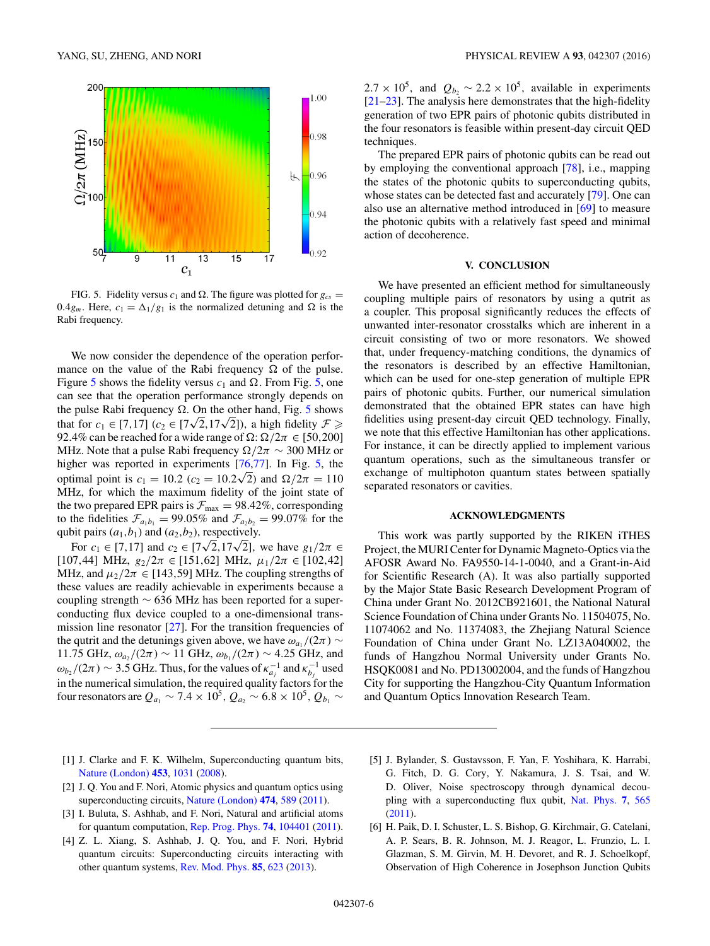<span id="page-5-0"></span>

FIG. 5. Fidelity versus  $c_1$  and  $\Omega$ . The figure was plotted for  $g_{cs}$  = 0.4 $g_m$ . Here,  $c_1 = \Delta_1/g_1$  is the normalized detuning and  $\Omega$  is the Rabi frequency.

We now consider the dependence of the operation performance on the value of the Rabi frequency  $\Omega$  of the pulse. Figure 5 shows the fidelity versus  $c_1$  and  $\Omega$ . From Fig. 5, one can see that the operation performance strongly depends on the pulse Rabi frequency  $\Omega$ . On the other hand, Fig. 5 shows that for  $c_1 \in [7, 17]$  ( $c_2 \in [7\sqrt{2}, 17\sqrt{2}]$ ), a high fidelity  $\mathcal{F} \geq$ 92.4% can be reached for a wide range of  $\Omega$ :  $\Omega/2\pi \in [50,200]$ MHz. Note that a pulse Rabi frequency  $\Omega/2\pi \sim 300$  MHz or higher was reported in experiments [\[76,77\]](#page-8-0). In Fig. 5, the optimal point is  $c_1 = 10.2$  ( $c_2 = 10.2\sqrt{2}$ ) and  $\Omega/2\pi = 110$ MHz, for which the maximum fidelity of the joint state of the two prepared EPR pairs is  $\mathcal{F}_{\text{max}} = 98.42\%$ , corresponding to the fidelities  $\mathcal{F}_{a_1b_1} = 99.05\%$  and  $\mathcal{F}_{a_2b_2} = 99.07\%$  for the qubit pairs  $(a_1, b_1)$  and  $(a_2, b_2)$ , respectively.

For  $c_1 \in [7, 17]$  and  $c_2 \in [7\sqrt{2}, 17\sqrt{2}]$ , we have  $g_1/2\pi \in$  $[107, 44]$  MHz,  $g_2/2\pi \in [151, 62]$  MHz,  $\mu_1/2\pi \in [102, 42]$ MHz, and  $\mu_2/2\pi \in [143, 59]$  MHz. The coupling strengths of these values are readily achievable in experiments because a coupling strength ∼ 636 MHz has been reported for a superconducting flux device coupled to a one-dimensional transmission line resonator  $[27]$ . For the transition frequencies of the qutrit and the detunings given above, we have  $\omega_{a_1}/(2\pi) \sim$ 11.75 GHz,  $ω_{a_2}/(2π)$  ∼ 11 GHz,  $ω_{b_1}/(2π)$  ∼ 4.25 GHz, and  $\omega_{b_2}$ /(2*π*) ∼ 3.5 GHz. Thus, for the values of  $\kappa_{a_j}^{-1}$  and  $\kappa_{b_j}^{-1}$  used in the numerical simulation, the required quality factors for the four resonators are  $Q_{a_1} \sim 7.4 \times 10^5$ ,  $Q_{a_2} \sim 6.8 \times 10^5$ ,  $Q_{b_1} \sim$ 

 $2.7 \times 10^5$ , and  $Q_{b_2} \sim 2.2 \times 10^5$ , available in experiments [\[21–23\]](#page-6-0). The analysis here demonstrates that the high-fidelity generation of two EPR pairs of photonic qubits distributed in the four resonators is feasible within present-day circuit QED techniques.

The prepared EPR pairs of photonic qubits can be read out by employing the conventional approach [\[78\]](#page-8-0), i.e., mapping the states of the photonic qubits to superconducting qubits, whose states can be detected fast and accurately [\[79\]](#page-8-0). One can also use an alternative method introduced in [\[69\]](#page-8-0) to measure the photonic qubits with a relatively fast speed and minimal action of decoherence.

#### **V. CONCLUSION**

We have presented an efficient method for simultaneously coupling multiple pairs of resonators by using a qutrit as a coupler. This proposal significantly reduces the effects of unwanted inter-resonator crosstalks which are inherent in a circuit consisting of two or more resonators. We showed that, under frequency-matching conditions, the dynamics of the resonators is described by an effective Hamiltonian, which can be used for one-step generation of multiple EPR pairs of photonic qubits. Further, our numerical simulation demonstrated that the obtained EPR states can have high fidelities using present-day circuit QED technology. Finally, we note that this effective Hamiltonian has other applications. For instance, it can be directly applied to implement various quantum operations, such as the simultaneous transfer or exchange of multiphoton quantum states between spatially separated resonators or cavities.

#### **ACKNOWLEDGMENTS**

This work was partly supported by the RIKEN iTHES Project, the MURI Center for Dynamic Magneto-Optics via the AFOSR Award No. FA9550-14-1-0040, and a Grant-in-Aid for Scientific Research (A). It was also partially supported by the Major State Basic Research Development Program of China under Grant No. 2012CB921601, the National Natural Science Foundation of China under Grants No. 11504075, No. 11074062 and No. 11374083, the Zhejiang Natural Science Foundation of China under Grant No. LZ13A040002, the funds of Hangzhou Normal University under Grants No. HSQK0081 and No. PD13002004, and the funds of Hangzhou City for supporting the Hangzhou-City Quantum Information and Quantum Optics Innovation Research Team.

- [1] J. Clarke and F. K. Wilhelm, Superconducting quantum bits, [Nature \(London\)](http://dx.doi.org/10.1038/nature07128) **[453](http://dx.doi.org/10.1038/nature07128)**, [1031](http://dx.doi.org/10.1038/nature07128) [\(2008\)](http://dx.doi.org/10.1038/nature07128).
- [2] J. Q. You and F. Nori, Atomic physics and quantum optics using superconducting circuits, [Nature \(London\)](http://dx.doi.org/10.1038/nature10122) **[474](http://dx.doi.org/10.1038/nature10122)**, [589](http://dx.doi.org/10.1038/nature10122) [\(2011\)](http://dx.doi.org/10.1038/nature10122).
- [3] I. Buluta, S. Ashhab, and F. Nori, Natural and artificial atoms for quantum computation, [Rep. Prog. Phys.](http://dx.doi.org/10.1088/0034-4885/74/10/104401) **[74](http://dx.doi.org/10.1088/0034-4885/74/10/104401)**, [104401](http://dx.doi.org/10.1088/0034-4885/74/10/104401) [\(2011\)](http://dx.doi.org/10.1088/0034-4885/74/10/104401).
- [4] Z. L. Xiang, S. Ashhab, J. Q. You, and F. Nori, Hybrid quantum circuits: Superconducting circuits interacting with other quantum systems, [Rev. Mod. Phys.](http://dx.doi.org/10.1103/RevModPhys.85.623) **[85](http://dx.doi.org/10.1103/RevModPhys.85.623)**, [623](http://dx.doi.org/10.1103/RevModPhys.85.623) [\(2013\)](http://dx.doi.org/10.1103/RevModPhys.85.623).
- [5] J. Bylander, S. Gustavsson, F. Yan, F. Yoshihara, K. Harrabi, G. Fitch, D. G. Cory, Y. Nakamura, J. S. Tsai, and W. D. Oliver, Noise spectroscopy through dynamical decoupling with a superconducting flux qubit, [Nat. Phys.](http://dx.doi.org/10.1038/nphys1994) **[7](http://dx.doi.org/10.1038/nphys1994)**, [565](http://dx.doi.org/10.1038/nphys1994) [\(2011\)](http://dx.doi.org/10.1038/nphys1994).
- [6] H. Paik, D. I. Schuster, L. S. Bishop, G. Kirchmair, G. Catelani, A. P. Sears, B. R. Johnson, M. J. Reagor, L. Frunzio, L. I. Glazman, S. M. Girvin, M. H. Devoret, and R. J. Schoelkopf, Observation of High Coherence in Josephson Junction Qubits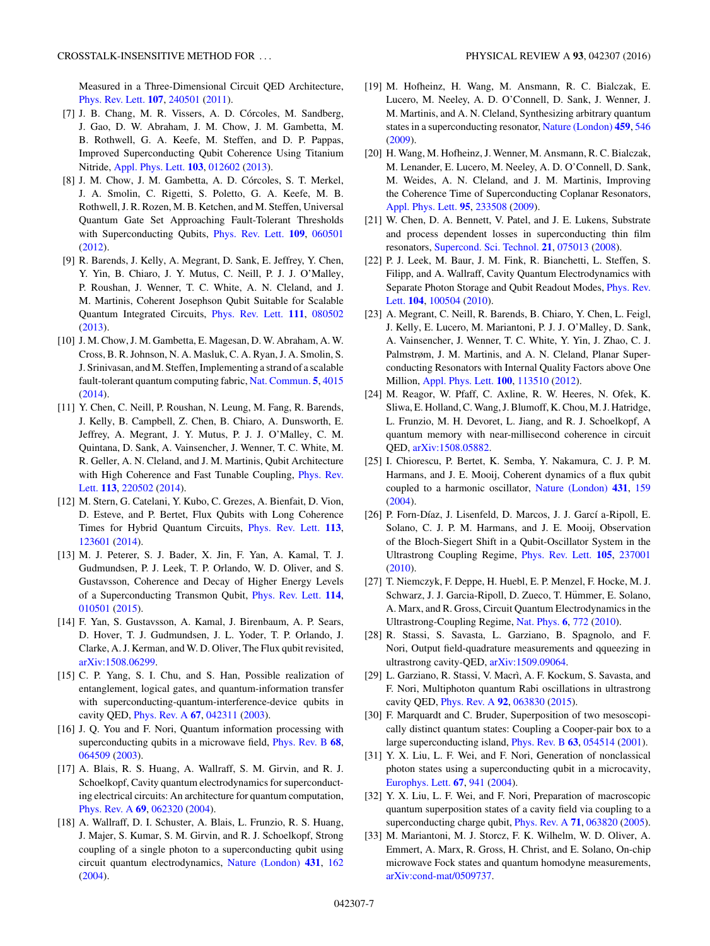<span id="page-6-0"></span>Measured in a Three-Dimensional Circuit QED Architecture, [Phys. Rev. Lett.](http://dx.doi.org/10.1103/PhysRevLett.107.240501) **[107](http://dx.doi.org/10.1103/PhysRevLett.107.240501)**, [240501](http://dx.doi.org/10.1103/PhysRevLett.107.240501) [\(2011\)](http://dx.doi.org/10.1103/PhysRevLett.107.240501).

- [7] J. B. Chang, M. R. Vissers, A. D. Córcoles, M. Sandberg, J. Gao, D. W. Abraham, J. M. Chow, J. M. Gambetta, M. B. Rothwell, G. A. Keefe, M. Steffen, and D. P. Pappas, Improved Superconducting Qubit Coherence Using Titanium Nitride, [Appl. Phys. Lett.](http://dx.doi.org/10.1063/1.4813269) **[103](http://dx.doi.org/10.1063/1.4813269)**, [012602](http://dx.doi.org/10.1063/1.4813269) [\(2013\)](http://dx.doi.org/10.1063/1.4813269).
- [8] J. M. Chow, J. M. Gambetta, A. D. Córcoles, S. T. Merkel, J. A. Smolin, C. Rigetti, S. Poletto, G. A. Keefe, M. B. Rothwell, J. R. Rozen, M. B. Ketchen, and M. Steffen, Universal Quantum Gate Set Approaching Fault-Tolerant Thresholds with Superconducting Qubits, [Phys. Rev. Lett.](http://dx.doi.org/10.1103/PhysRevLett.109.060501) **[109](http://dx.doi.org/10.1103/PhysRevLett.109.060501)**, [060501](http://dx.doi.org/10.1103/PhysRevLett.109.060501) [\(2012\)](http://dx.doi.org/10.1103/PhysRevLett.109.060501).
- [9] R. Barends, J. Kelly, A. Megrant, D. Sank, E. Jeffrey, Y. Chen, Y. Yin, B. Chiaro, J. Y. Mutus, C. Neill, P. J. J. O'Malley, P. Roushan, J. Wenner, T. C. White, A. N. Cleland, and J. M. Martinis, Coherent Josephson Qubit Suitable for Scalable Quantum Integrated Circuits, [Phys. Rev. Lett.](http://dx.doi.org/10.1103/PhysRevLett.111.080502) **[111](http://dx.doi.org/10.1103/PhysRevLett.111.080502)**, [080502](http://dx.doi.org/10.1103/PhysRevLett.111.080502) [\(2013\)](http://dx.doi.org/10.1103/PhysRevLett.111.080502).
- [10] J. M. Chow, J. M. Gambetta, E. Magesan, D. W. Abraham, A. W. Cross, B. R. Johnson, N. A. Masluk, C. A. Ryan, J. A. Smolin, S. J. Srinivasan, and M. Steffen, Implementing a strand of a scalable fault-tolerant quantum computing fabric, [Nat. Commun.](http://dx.doi.org/10.1038/ncomms5015) **[5](http://dx.doi.org/10.1038/ncomms5015)**, [4015](http://dx.doi.org/10.1038/ncomms5015) [\(2014\)](http://dx.doi.org/10.1038/ncomms5015).
- [11] Y. Chen, C. Neill, P. Roushan, N. Leung, M. Fang, R. Barends, J. Kelly, B. Campbell, Z. Chen, B. Chiaro, A. Dunsworth, E. Jeffrey, A. Megrant, J. Y. Mutus, P. J. J. O'Malley, C. M. Quintana, D. Sank, A. Vainsencher, J. Wenner, T. C. White, M. R. Geller, A. N. Cleland, and J. M. Martinis, Qubit Architecture [with High Coherence and Fast Tunable Coupling,](http://dx.doi.org/10.1103/PhysRevLett.113.220502) Phys. Rev. Lett. **[113](http://dx.doi.org/10.1103/PhysRevLett.113.220502)**, [220502](http://dx.doi.org/10.1103/PhysRevLett.113.220502) [\(2014\)](http://dx.doi.org/10.1103/PhysRevLett.113.220502).
- [12] M. Stern, G. Catelani, Y. Kubo, C. Grezes, A. Bienfait, D. Vion, D. Esteve, and P. Bertet, Flux Qubits with Long Coherence Times for Hybrid Quantum Circuits, [Phys. Rev. Lett.](http://dx.doi.org/10.1103/PhysRevLett.113.123601) **[113](http://dx.doi.org/10.1103/PhysRevLett.113.123601)**, [123601](http://dx.doi.org/10.1103/PhysRevLett.113.123601) [\(2014\)](http://dx.doi.org/10.1103/PhysRevLett.113.123601).
- [13] M. J. Peterer, S. J. Bader, X. Jin, F. Yan, A. Kamal, T. J. Gudmundsen, P. J. Leek, T. P. Orlando, W. D. Oliver, and S. Gustavsson, Coherence and Decay of Higher Energy Levels of a Superconducting Transmon Qubit, [Phys. Rev. Lett.](http://dx.doi.org/10.1103/PhysRevLett.114.010501) **[114](http://dx.doi.org/10.1103/PhysRevLett.114.010501)**, [010501](http://dx.doi.org/10.1103/PhysRevLett.114.010501) [\(2015\)](http://dx.doi.org/10.1103/PhysRevLett.114.010501).
- [14] F. Yan, S. Gustavsson, A. Kamal, J. Birenbaum, A. P. Sears, D. Hover, T. J. Gudmundsen, J. L. Yoder, T. P. Orlando, J. Clarke, A. J. Kerman, and W. D. Oliver, The Flux qubit revisited, [arXiv:1508.06299.](http://arxiv.org/abs/arXiv:1508.06299)
- [15] C. P. Yang, S. I. Chu, and S. Han, Possible realization of entanglement, logical gates, and quantum-information transfer with superconducting-quantum-interference-device qubits in cavity QED, [Phys. Rev. A](http://dx.doi.org/10.1103/PhysRevA.67.042311) **[67](http://dx.doi.org/10.1103/PhysRevA.67.042311)**, [042311](http://dx.doi.org/10.1103/PhysRevA.67.042311) [\(2003\)](http://dx.doi.org/10.1103/PhysRevA.67.042311).
- [16] J. Q. You and F. Nori, Quantum information processing with superconducting qubits in a microwave field, [Phys. Rev. B](http://dx.doi.org/10.1103/PhysRevB.68.064509) **[68](http://dx.doi.org/10.1103/PhysRevB.68.064509)**, [064509](http://dx.doi.org/10.1103/PhysRevB.68.064509) [\(2003\)](http://dx.doi.org/10.1103/PhysRevB.68.064509).
- [17] A. Blais, R. S. Huang, A. Wallraff, S. M. Girvin, and R. J. Schoelkopf, Cavity quantum electrodynamics for superconducting electrical circuits: An architecture for quantum computation, [Phys. Rev. A](http://dx.doi.org/10.1103/PhysRevA.69.062320) **[69](http://dx.doi.org/10.1103/PhysRevA.69.062320)**, [062320](http://dx.doi.org/10.1103/PhysRevA.69.062320) [\(2004\)](http://dx.doi.org/10.1103/PhysRevA.69.062320).
- [18] A. Wallraff, D. I. Schuster, A. Blais, L. Frunzio, R. S. Huang, J. Majer, S. Kumar, S. M. Girvin, and R. J. Schoelkopf, Strong coupling of a single photon to a superconducting qubit using circuit quantum electrodynamics, [Nature \(London\)](http://dx.doi.org/10.1038/nature02851) **[431](http://dx.doi.org/10.1038/nature02851)**, [162](http://dx.doi.org/10.1038/nature02851) [\(2004\)](http://dx.doi.org/10.1038/nature02851).
- [19] M. Hofheinz, H. Wang, M. Ansmann, R. C. Bialczak, E. Lucero, M. Neeley, A. D. O'Connell, D. Sank, J. Wenner, J. M. Martinis, and A. N. Cleland, Synthesizing arbitrary quantum states in a superconducting resonator, [Nature \(London\)](http://dx.doi.org/10.1038/nature08005) **[459](http://dx.doi.org/10.1038/nature08005)**, [546](http://dx.doi.org/10.1038/nature08005) [\(2009\)](http://dx.doi.org/10.1038/nature08005).
- [20] H. Wang, M. Hofheinz, J. Wenner, M. Ansmann, R. C. Bialczak, M. Lenander, E. Lucero, M. Neeley, A. D. O'Connell, D. Sank, M. Weides, A. N. Cleland, and J. M. Martinis, Improving the Coherence Time of Superconducting Coplanar Resonators, [Appl. Phys. Lett.](http://dx.doi.org/10.1063/1.3273372) **[95](http://dx.doi.org/10.1063/1.3273372)**, [233508](http://dx.doi.org/10.1063/1.3273372) [\(2009\)](http://dx.doi.org/10.1063/1.3273372).
- [21] W. Chen, D. A. Bennett, V. Patel, and J. E. Lukens, Substrate and process dependent losses in superconducting thin film resonators, [Supercond. Sci. Technol.](http://dx.doi.org/10.1088/0953-2048/21/7/075013) **[21](http://dx.doi.org/10.1088/0953-2048/21/7/075013)**, [075013](http://dx.doi.org/10.1088/0953-2048/21/7/075013) [\(2008\)](http://dx.doi.org/10.1088/0953-2048/21/7/075013).
- [22] P. J. Leek, M. Baur, J. M. Fink, R. Bianchetti, L. Steffen, S. Filipp, and A. Wallraff, Cavity Quantum Electrodynamics with [Separate Photon Storage and Qubit Readout Modes,](http://dx.doi.org/10.1103/PhysRevLett.104.100504) Phys. Rev. Lett. **[104](http://dx.doi.org/10.1103/PhysRevLett.104.100504)**, [100504](http://dx.doi.org/10.1103/PhysRevLett.104.100504) [\(2010\)](http://dx.doi.org/10.1103/PhysRevLett.104.100504).
- [23] A. Megrant, C. Neill, R. Barends, B. Chiaro, Y. Chen, L. Feigl, J. Kelly, E. Lucero, M. Mariantoni, P. J. J. O'Malley, D. Sank, A. Vainsencher, J. Wenner, T. C. White, Y. Yin, J. Zhao, C. J. Palmstrøm, J. M. Martinis, and A. N. Cleland, Planar Superconducting Resonators with Internal Quality Factors above One Million, [Appl. Phys. Lett.](http://dx.doi.org/10.1063/1.3693409) **[100](http://dx.doi.org/10.1063/1.3693409)**, [113510](http://dx.doi.org/10.1063/1.3693409) [\(2012\)](http://dx.doi.org/10.1063/1.3693409).
- [24] M. Reagor, W. Pfaff, C. Axline, R. W. Heeres, N. Ofek, K. Sliwa, E. Holland, C. Wang, J. Blumoff, K. Chou, M. J. Hatridge, L. Frunzio, M. H. Devoret, L. Jiang, and R. J. Schoelkopf, A quantum memory with near-millisecond coherence in circuit QED, [arXiv:1508.05882.](http://arxiv.org/abs/arXiv:1508.05882)
- [25] I. Chiorescu, P. Bertet, K. Semba, Y. Nakamura, C. J. P. M. Harmans, and J. E. Mooij, Coherent dynamics of a flux qubit coupled to a harmonic oscillator, [Nature \(London\)](http://dx.doi.org/10.1038/nature02831) **[431](http://dx.doi.org/10.1038/nature02831)**, [159](http://dx.doi.org/10.1038/nature02831) [\(2004\)](http://dx.doi.org/10.1038/nature02831).
- [26] P. Forn-Díaz, J. Lisenfeld, D. Marcos, J. J. Garcí a-Ripoll, E. Solano, C. J. P. M. Harmans, and J. E. Mooij, Observation of the Bloch-Siegert Shift in a Qubit-Oscillator System in the Ultrastrong Coupling Regime, [Phys. Rev. Lett.](http://dx.doi.org/10.1103/PhysRevLett.105.237001) **[105](http://dx.doi.org/10.1103/PhysRevLett.105.237001)**, [237001](http://dx.doi.org/10.1103/PhysRevLett.105.237001) [\(2010\)](http://dx.doi.org/10.1103/PhysRevLett.105.237001).
- [27] T. Niemczyk, F. Deppe, H. Huebl, E. P. Menzel, F. Hocke, M. J. Schwarz, J. J. Garcia-Ripoll, D. Zueco, T. Hümmer, E. Solano, A. Marx, and R. Gross, Circuit Quantum Electrodynamics in the Ultrastrong-Coupling Regime, [Nat. Phys.](http://dx.doi.org/10.1038/nphys1730) **[6](http://dx.doi.org/10.1038/nphys1730)**, [772](http://dx.doi.org/10.1038/nphys1730) [\(2010\)](http://dx.doi.org/10.1038/nphys1730).
- [28] R. Stassi, S. Savasta, L. Garziano, B. Spagnolo, and F. Nori, Output field-quadrature measurements and qqueezing in ultrastrong cavity-QED, [arXiv:1509.09064.](http://arxiv.org/abs/arXiv:1509.09064)
- [29] L. Garziano, R. Stassi, V. Macrì, A. F. Kockum, S. Savasta, and F. Nori, Multiphoton quantum Rabi oscillations in ultrastrong cavity QED, [Phys. Rev. A](http://dx.doi.org/10.1103/PhysRevA.92.063830) **[92](http://dx.doi.org/10.1103/PhysRevA.92.063830)**, [063830](http://dx.doi.org/10.1103/PhysRevA.92.063830) [\(2015\)](http://dx.doi.org/10.1103/PhysRevA.92.063830).
- [30] F. Marquardt and C. Bruder, Superposition of two mesoscopically distinct quantum states: Coupling a Cooper-pair box to a large superconducting island, [Phys. Rev. B](http://dx.doi.org/10.1103/PhysRevB.63.054514) **[63](http://dx.doi.org/10.1103/PhysRevB.63.054514)**, [054514](http://dx.doi.org/10.1103/PhysRevB.63.054514) [\(2001\)](http://dx.doi.org/10.1103/PhysRevB.63.054514).
- [31] Y. X. Liu, L. F. Wei, and F. Nori, Generation of nonclassical photon states using a superconducting qubit in a microcavity, [Europhys. Lett.](http://dx.doi.org/10.1209/epl/i2004-10144-3) **[67](http://dx.doi.org/10.1209/epl/i2004-10144-3)**, [941](http://dx.doi.org/10.1209/epl/i2004-10144-3) [\(2004\)](http://dx.doi.org/10.1209/epl/i2004-10144-3).
- [32] Y. X. Liu, L. F. Wei, and F. Nori, Preparation of macroscopic quantum superposition states of a cavity field via coupling to a superconducting charge qubit, [Phys. Rev. A](http://dx.doi.org/10.1103/PhysRevA.71.063820) **[71](http://dx.doi.org/10.1103/PhysRevA.71.063820)**, [063820](http://dx.doi.org/10.1103/PhysRevA.71.063820) [\(2005\)](http://dx.doi.org/10.1103/PhysRevA.71.063820).
- [33] M. Mariantoni, M. J. Storcz, F. K. Wilhelm, W. D. Oliver, A. Emmert, A. Marx, R. Gross, H. Christ, and E. Solano, On-chip microwave Fock states and quantum homodyne measurements, [arXiv:cond-mat/0509737.](http://arxiv.org/abs/arXiv:cond-mat/0509737)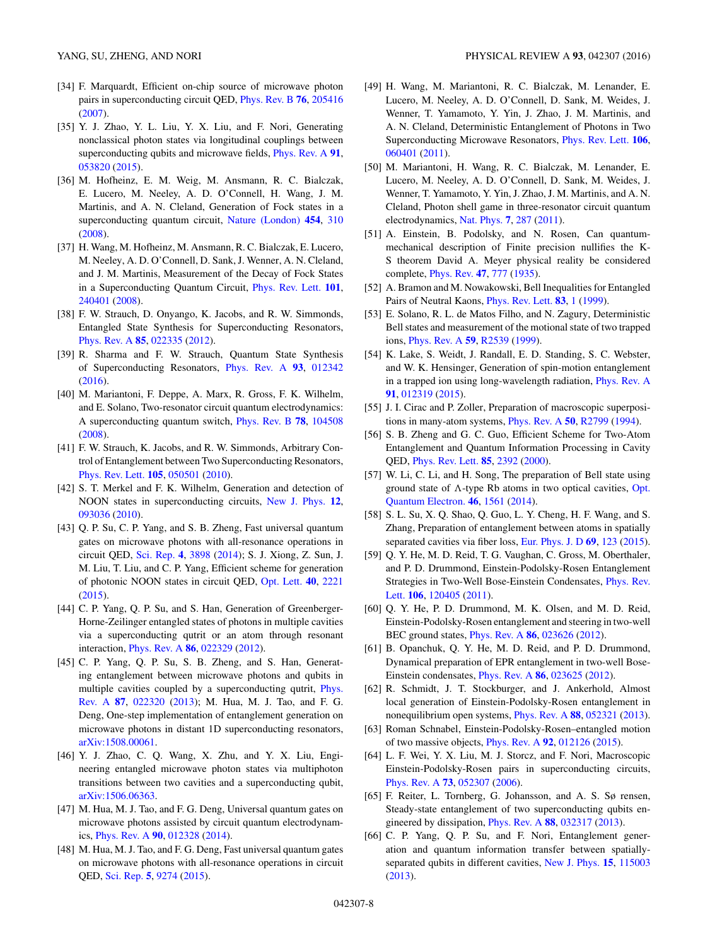- <span id="page-7-0"></span>[34] F. Marquardt, Efficient on-chip source of microwave photon pairs in superconducting circuit QED, [Phys. Rev. B](http://dx.doi.org/10.1103/PhysRevB.76.205416) **[76](http://dx.doi.org/10.1103/PhysRevB.76.205416)**, [205416](http://dx.doi.org/10.1103/PhysRevB.76.205416) [\(2007\)](http://dx.doi.org/10.1103/PhysRevB.76.205416).
- [35] Y. J. Zhao, Y. L. Liu, Y. X. Liu, and F. Nori, Generating nonclassical photon states via longitudinal couplings between superconducting qubits and microwave fields, [Phys. Rev. A](http://dx.doi.org/10.1103/PhysRevA.91.053820) **[91](http://dx.doi.org/10.1103/PhysRevA.91.053820)**, [053820](http://dx.doi.org/10.1103/PhysRevA.91.053820) [\(2015\)](http://dx.doi.org/10.1103/PhysRevA.91.053820).
- [36] M. Hofheinz, E. M. Weig, M. Ansmann, R. C. Bialczak, E. Lucero, M. Neeley, A. D. O'Connell, H. Wang, J. M. Martinis, and A. N. Cleland, Generation of Fock states in a superconducting quantum circuit, [Nature \(London\)](http://dx.doi.org/10.1038/nature07136) **[454](http://dx.doi.org/10.1038/nature07136)**, [310](http://dx.doi.org/10.1038/nature07136) [\(2008\)](http://dx.doi.org/10.1038/nature07136).
- [37] H. Wang, M. Hofheinz, M. Ansmann, R. C. Bialczak, E. Lucero, M. Neeley, A. D. O'Connell, D. Sank, J. Wenner, A. N. Cleland, and J. M. Martinis, Measurement of the Decay of Fock States in a Superconducting Quantum Circuit, [Phys. Rev. Lett.](http://dx.doi.org/10.1103/PhysRevLett.101.240401) **[101](http://dx.doi.org/10.1103/PhysRevLett.101.240401)**, [240401](http://dx.doi.org/10.1103/PhysRevLett.101.240401) [\(2008\)](http://dx.doi.org/10.1103/PhysRevLett.101.240401).
- [38] F. W. Strauch, D. Onyango, K. Jacobs, and R. W. Simmonds, Entangled State Synthesis for Superconducting Resonators, [Phys. Rev. A](http://dx.doi.org/10.1103/PhysRevA.85.022335) **[85](http://dx.doi.org/10.1103/PhysRevA.85.022335)**, [022335](http://dx.doi.org/10.1103/PhysRevA.85.022335) [\(2012\)](http://dx.doi.org/10.1103/PhysRevA.85.022335).
- [39] R. Sharma and F. W. Strauch, Quantum State Synthesis of Superconducting Resonators, [Phys. Rev. A](http://dx.doi.org/10.1103/PhysRevA.93.012342) **[93](http://dx.doi.org/10.1103/PhysRevA.93.012342)**, [012342](http://dx.doi.org/10.1103/PhysRevA.93.012342) [\(2016\)](http://dx.doi.org/10.1103/PhysRevA.93.012342).
- [40] M. Mariantoni, F. Deppe, A. Marx, R. Gross, F. K. Wilhelm, and E. Solano, Two-resonator circuit quantum electrodynamics: A superconducting quantum switch, [Phys. Rev. B](http://dx.doi.org/10.1103/PhysRevB.78.104508) **[78](http://dx.doi.org/10.1103/PhysRevB.78.104508)**, [104508](http://dx.doi.org/10.1103/PhysRevB.78.104508) [\(2008\)](http://dx.doi.org/10.1103/PhysRevB.78.104508).
- [41] F. W. Strauch, K. Jacobs, and R. W. Simmonds, Arbitrary Control of Entanglement between Two Superconducting Resonators, [Phys. Rev. Lett.](http://dx.doi.org/10.1103/PhysRevLett.105.050501) **[105](http://dx.doi.org/10.1103/PhysRevLett.105.050501)**, [050501](http://dx.doi.org/10.1103/PhysRevLett.105.050501) [\(2010\)](http://dx.doi.org/10.1103/PhysRevLett.105.050501).
- [42] S. T. Merkel and F. K. Wilhelm, Generation and detection of NOON states in superconducting circuits, [New J. Phys.](http://dx.doi.org/10.1088/1367-2630/12/9/093036) **[12](http://dx.doi.org/10.1088/1367-2630/12/9/093036)**, [093036](http://dx.doi.org/10.1088/1367-2630/12/9/093036) [\(2010\)](http://dx.doi.org/10.1088/1367-2630/12/9/093036).
- [43] Q. P. Su, C. P. Yang, and S. B. Zheng, Fast universal quantum gates on microwave photons with all-resonance operations in circuit QED, [Sci. Rep.](http://dx.doi.org/10.1038/srep03898) **[4](http://dx.doi.org/10.1038/srep03898)**, [3898](http://dx.doi.org/10.1038/srep03898) [\(2014\)](http://dx.doi.org/10.1038/srep03898); S. J. Xiong, Z. Sun, J. M. Liu, T. Liu, and C. P. Yang, Efficient scheme for generation of photonic NOON states in circuit QED, [Opt. Lett.](http://dx.doi.org/10.1364/OL.40.002221) **[40](http://dx.doi.org/10.1364/OL.40.002221)**, [2221](http://dx.doi.org/10.1364/OL.40.002221) [\(2015\)](http://dx.doi.org/10.1364/OL.40.002221).
- [44] C. P. Yang, Q. P. Su, and S. Han, Generation of Greenberger-Horne-Zeilinger entangled states of photons in multiple cavities via a superconducting qutrit or an atom through resonant interaction, [Phys. Rev. A](http://dx.doi.org/10.1103/PhysRevA.86.022329) **[86](http://dx.doi.org/10.1103/PhysRevA.86.022329)**, [022329](http://dx.doi.org/10.1103/PhysRevA.86.022329) [\(2012\)](http://dx.doi.org/10.1103/PhysRevA.86.022329).
- [45] C. P. Yang, Q. P. Su, S. B. Zheng, and S. Han, Generating entanglement between microwave photons and qubits in [multiple cavities coupled by a superconducting qutrit,](http://dx.doi.org/10.1103/PhysRevA.87.022320) Phys. Rev. A **[87](http://dx.doi.org/10.1103/PhysRevA.87.022320)**, [022320](http://dx.doi.org/10.1103/PhysRevA.87.022320) [\(2013\)](http://dx.doi.org/10.1103/PhysRevA.87.022320); M. Hua, M. J. Tao, and F. G. Deng, One-step implementation of entanglement generation on microwave photons in distant 1D superconducting resonators, [arXiv:1508.00061.](http://arxiv.org/abs/arXiv:1508.00061)
- [46] Y. J. Zhao, C. Q. Wang, X. Zhu, and Y. X. Liu, Engineering entangled microwave photon states via multiphoton transitions between two cavities and a superconducting qubit, [arXiv:1506.06363.](http://arxiv.org/abs/arXiv:1506.06363)
- [47] M. Hua, M. J. Tao, and F. G. Deng, Universal quantum gates on microwave photons assisted by circuit quantum electrodynamics, [Phys. Rev. A](http://dx.doi.org/10.1103/PhysRevA.90.012328) **[90](http://dx.doi.org/10.1103/PhysRevA.90.012328)**, [012328](http://dx.doi.org/10.1103/PhysRevA.90.012328) [\(2014\)](http://dx.doi.org/10.1103/PhysRevA.90.012328).
- [48] M. Hua, M. J. Tao, and F. G. Deng, Fast universal quantum gates on microwave photons with all-resonance operations in circuit QED, [Sci. Rep.](http://dx.doi.org/10.1038/srep09274) **[5](http://dx.doi.org/10.1038/srep09274)**, [9274](http://dx.doi.org/10.1038/srep09274) [\(2015\)](http://dx.doi.org/10.1038/srep09274).
- [49] H. Wang, M. Mariantoni, R. C. Bialczak, M. Lenander, E. Lucero, M. Neeley, A. D. O'Connell, D. Sank, M. Weides, J. Wenner, T. Yamamoto, Y. Yin, J. Zhao, J. M. Martinis, and A. N. Cleland, Deterministic Entanglement of Photons in Two Superconducting Microwave Resonators, [Phys. Rev. Lett.](http://dx.doi.org/10.1103/PhysRevLett.106.060401) **[106](http://dx.doi.org/10.1103/PhysRevLett.106.060401)**, [060401](http://dx.doi.org/10.1103/PhysRevLett.106.060401) [\(2011\)](http://dx.doi.org/10.1103/PhysRevLett.106.060401).
- [50] M. Mariantoni, H. Wang, R. C. Bialczak, M. Lenander, E. Lucero, M. Neeley, A. D. O'Connell, D. Sank, M. Weides, J. Wenner, T. Yamamoto, Y. Yin, J. Zhao, J. M. Martinis, and A. N. Cleland, Photon shell game in three-resonator circuit quantum electrodynamics, [Nat. Phys.](http://dx.doi.org/10.1038/nphys1885) **[7](http://dx.doi.org/10.1038/nphys1885)**, [287](http://dx.doi.org/10.1038/nphys1885) [\(2011\)](http://dx.doi.org/10.1038/nphys1885).
- [51] A. Einstein, B. Podolsky, and N. Rosen, Can quantummechanical description of Finite precision nullifies the K-S theorem David A. Meyer physical reality be considered complete, [Phys. Rev.](http://dx.doi.org/10.1103/PhysRev.47.777) **[47](http://dx.doi.org/10.1103/PhysRev.47.777)**, [777](http://dx.doi.org/10.1103/PhysRev.47.777) [\(1935\)](http://dx.doi.org/10.1103/PhysRev.47.777).
- [52] A. Bramon and M. Nowakowski, Bell Inequalities for Entangled Pairs of Neutral Kaons, [Phys. Rev. Lett.](http://dx.doi.org/10.1103/PhysRevLett.83.1) **[83](http://dx.doi.org/10.1103/PhysRevLett.83.1)**, [1](http://dx.doi.org/10.1103/PhysRevLett.83.1) [\(1999\)](http://dx.doi.org/10.1103/PhysRevLett.83.1).
- [53] E. Solano, R. L. de Matos Filho, and N. Zagury, Deterministic Bell states and measurement of the motional state of two trapped ions, [Phys. Rev. A](http://dx.doi.org/10.1103/PhysRevA.59.R2539) **[59](http://dx.doi.org/10.1103/PhysRevA.59.R2539)**, [R2539](http://dx.doi.org/10.1103/PhysRevA.59.R2539) [\(1999\)](http://dx.doi.org/10.1103/PhysRevA.59.R2539).
- [54] K. Lake, S. Weidt, J. Randall, E. D. Standing, S. C. Webster, and W. K. Hensinger, Generation of spin-motion entanglement in a trapped ion using long-wavelength radiation, [Phys. Rev. A](http://dx.doi.org/10.1103/PhysRevA.91.012319) **[91](http://dx.doi.org/10.1103/PhysRevA.91.012319)**, [012319](http://dx.doi.org/10.1103/PhysRevA.91.012319) [\(2015\)](http://dx.doi.org/10.1103/PhysRevA.91.012319).
- [55] J. I. Cirac and P. Zoller, Preparation of macroscopic superpositions in many-atom systems, [Phys. Rev. A](http://dx.doi.org/10.1103/PhysRevA.50.R2799) **[50](http://dx.doi.org/10.1103/PhysRevA.50.R2799)**, [R2799](http://dx.doi.org/10.1103/PhysRevA.50.R2799) [\(1994\)](http://dx.doi.org/10.1103/PhysRevA.50.R2799).
- [56] S. B. Zheng and G. C. Guo, Efficient Scheme for Two-Atom Entanglement and Quantum Information Processing in Cavity QED, [Phys. Rev. Lett.](http://dx.doi.org/10.1103/PhysRevLett.85.2392) **[85](http://dx.doi.org/10.1103/PhysRevLett.85.2392)**, [2392](http://dx.doi.org/10.1103/PhysRevLett.85.2392) [\(2000\)](http://dx.doi.org/10.1103/PhysRevLett.85.2392).
- [57] W. Li, C. Li, and H. Song, The preparation of Bell state using ground state of  $\Lambda$ [-type Rb atoms in two optical cavities,](http://dx.doi.org/10.1007/s11082-013-9871-1) Opt. Quantum Electron. **[46](http://dx.doi.org/10.1007/s11082-013-9871-1)**, [1561](http://dx.doi.org/10.1007/s11082-013-9871-1) [\(2014\)](http://dx.doi.org/10.1007/s11082-013-9871-1).
- [58] S. L. Su, X. Q. Shao, Q. Guo, L. Y. Cheng, H. F. Wang, and S. Zhang, Preparation of entanglement between atoms in spatially separated cavities via fiber loss, [Eur. Phys. J. D](http://dx.doi.org/10.1140/epjd/e2015-50901-6) **[69](http://dx.doi.org/10.1140/epjd/e2015-50901-6)**, [123](http://dx.doi.org/10.1140/epjd/e2015-50901-6) [\(2015\)](http://dx.doi.org/10.1140/epjd/e2015-50901-6).
- [59] Q. Y. He, M. D. Reid, T. G. Vaughan, C. Gross, M. Oberthaler, and P. D. Drummond, Einstein-Podolsky-Rosen Entanglement [Strategies in Two-Well Bose-Einstein Condensates,](http://dx.doi.org/10.1103/PhysRevLett.106.120405) Phys. Rev. Lett. **[106](http://dx.doi.org/10.1103/PhysRevLett.106.120405)**, [120405](http://dx.doi.org/10.1103/PhysRevLett.106.120405) [\(2011\)](http://dx.doi.org/10.1103/PhysRevLett.106.120405).
- [60] Q. Y. He, P. D. Drummond, M. K. Olsen, and M. D. Reid, Einstein-Podolsky-Rosen entanglement and steering in two-well BEC ground states, [Phys. Rev. A](http://dx.doi.org/10.1103/PhysRevA.86.023626) **[86](http://dx.doi.org/10.1103/PhysRevA.86.023626)**, [023626](http://dx.doi.org/10.1103/PhysRevA.86.023626) [\(2012\)](http://dx.doi.org/10.1103/PhysRevA.86.023626).
- [61] B. Opanchuk, Q. Y. He, M. D. Reid, and P. D. Drummond, Dynamical preparation of EPR entanglement in two-well Bose-Einstein condensates, [Phys. Rev. A](http://dx.doi.org/10.1103/PhysRevA.86.023625) **[86](http://dx.doi.org/10.1103/PhysRevA.86.023625)**, [023625](http://dx.doi.org/10.1103/PhysRevA.86.023625) [\(2012\)](http://dx.doi.org/10.1103/PhysRevA.86.023625).
- [62] R. Schmidt, J. T. Stockburger, and J. Ankerhold, Almost local generation of Einstein-Podolsky-Rosen entanglement in nonequilibrium open systems, [Phys. Rev. A](http://dx.doi.org/10.1103/PhysRevA.88.052321) **[88](http://dx.doi.org/10.1103/PhysRevA.88.052321)**, [052321](http://dx.doi.org/10.1103/PhysRevA.88.052321) [\(2013\)](http://dx.doi.org/10.1103/PhysRevA.88.052321).
- [63] Roman Schnabel, Einstein-Podolsky-Rosen–entangled motion of two massive objects, [Phys. Rev. A](http://dx.doi.org/10.1103/PhysRevA.92.012126) **[92](http://dx.doi.org/10.1103/PhysRevA.92.012126)**, [012126](http://dx.doi.org/10.1103/PhysRevA.92.012126) [\(2015\)](http://dx.doi.org/10.1103/PhysRevA.92.012126).
- [64] L. F. Wei, Y. X. Liu, M. J. Storcz, and F. Nori, Macroscopic Einstein-Podolsky-Rosen pairs in superconducting circuits, [Phys. Rev. A](http://dx.doi.org/10.1103/PhysRevA.73.052307) **[73](http://dx.doi.org/10.1103/PhysRevA.73.052307)**, [052307](http://dx.doi.org/10.1103/PhysRevA.73.052307) [\(2006\)](http://dx.doi.org/10.1103/PhysRevA.73.052307).
- [65] F. Reiter, L. Tornberg, G. Johansson, and A. S. Sø rensen, Steady-state entanglement of two superconducting qubits engineered by dissipation, [Phys. Rev. A](http://dx.doi.org/10.1103/PhysRevA.88.032317) **[88](http://dx.doi.org/10.1103/PhysRevA.88.032317)**, [032317](http://dx.doi.org/10.1103/PhysRevA.88.032317) [\(2013\)](http://dx.doi.org/10.1103/PhysRevA.88.032317).
- [66] C. P. Yang, Q. P. Su, and F. Nori, Entanglement generation and quantum information transfer between spatiallyseparated qubits in different cavities, [New J. Phys.](http://dx.doi.org/10.1088/1367-2630/15/11/115003) **[15](http://dx.doi.org/10.1088/1367-2630/15/11/115003)**, [115003](http://dx.doi.org/10.1088/1367-2630/15/11/115003) [\(2013\)](http://dx.doi.org/10.1088/1367-2630/15/11/115003).